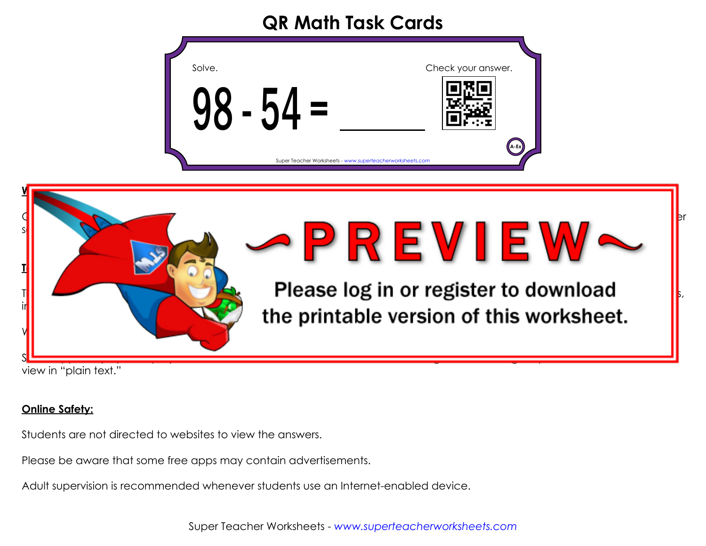## **QR Math Task Cards**

| Solve.                                                    | Check your answer. |
|-----------------------------------------------------------|--------------------|
| - 54 =<br>ζ.<br>X                                         |                    |
| Super Teacher Worksheets - www.superteacherworksheets.com | A-Ex               |



view in "plain text."

## **Online Safety:**

Students are not directed to websites to view the answers.

Please be aware that some free apps may contain advertisements.

Adult supervision is recommended whenever students use an Internet-enabled device.

Super Teacher Worksheets - *www.superteacherworksheets.com*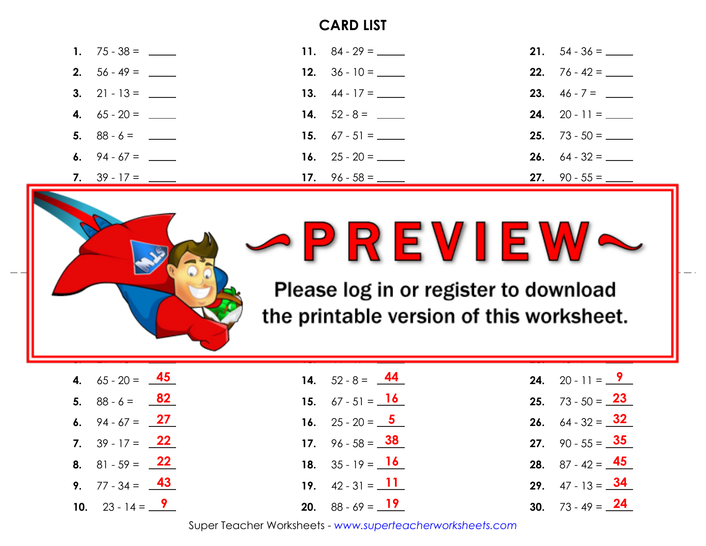## **CARD LIST**

|                            | 11. $84 - 29 =$ ________        |                             |
|----------------------------|---------------------------------|-----------------------------|
|                            |                                 | <b>22.</b> $76 - 42 =$      |
| 3. 21 - 13 = $\frac{ }{ }$ |                                 |                             |
|                            |                                 | <b>24.</b> 20 - 11 = $\_\_$ |
|                            | <b>15.</b> $67 - 51 =$ ________ |                             |
|                            |                                 |                             |
|                            |                                 | <b>27.</b> 90 - 55 = $\_\_$ |





**printable version of this worksheet.** Please log in or register to download

**39**

**23.** 46 - 7 =

| <b>4.</b> $65 - 20 = 45$           | <b>14.</b> $52 - 8 = 44$              | <b>24.</b> 20 - 11 = $9$             |
|------------------------------------|---------------------------------------|--------------------------------------|
| 5. $88 - 6 = 82$                   | <b>15.</b> $67 - 51 = 16$             | <b>25.</b> $73 - 50 = 23$            |
| 6. $94 - 67 = 27$                  | <b>16.</b> 25 - 20 = $\frac{5}{2}$    | <b>26.</b> 64 - 32 = $\frac{32}{1}$  |
| <b>7.</b> $39 - 17 = 22$           | 17. $96 - 58 = 38$                    | <b>27.</b> 90 - 55 = $\frac{35}{10}$ |
| <b>8.</b> 81 - 59 = $\frac{22}{1}$ | <b>18.</b> $35 - 19 = \textbf{16}$    | <b>28.</b> $87 - 42 = 45$            |
| <b>9.</b> $77 - 34 = 43$           | <b>19.</b> $42 - 31 = 11$             | 29. $47 - 13 = 34$                   |
| 10. $23 - 14 = 9$                  | <b>20.</b> $88 - 69 = \underline{19}$ | <b>30.</b> $73 - 49 = 24$            |

**13.** 44 - 17 =

**27**

Super Teacher Worksheets - *www.superteacherworksheets.com*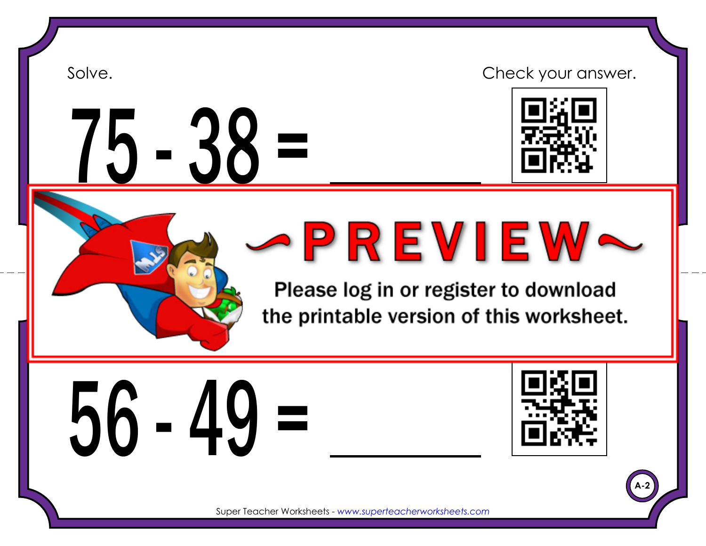

# $-38 =$

Solve. Solve and the contract of the check your answer.



Super Teacher Worksheets - *www.superteacherworksheets.com*

Please log in or register to download the printable version of this worksheet.





**A-2**

Super Teacher Worksheets - *www.superteacherworksheets.com*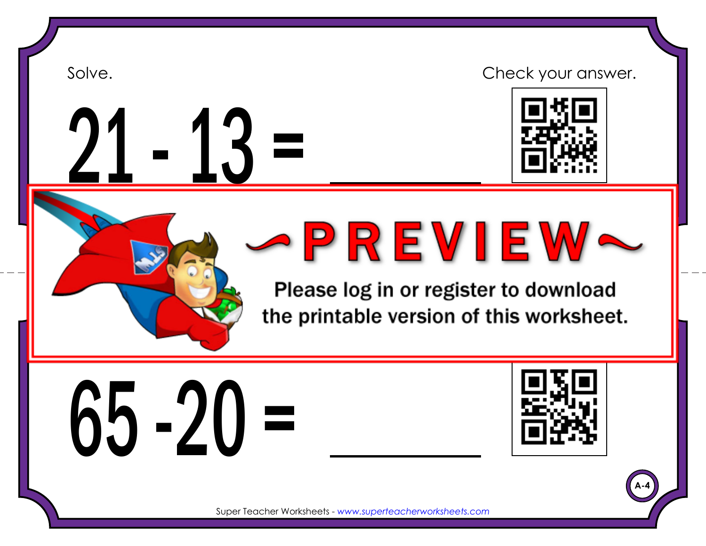





**A-4**

Super Teacher Worksheets - *www.superteacherworksheets.com*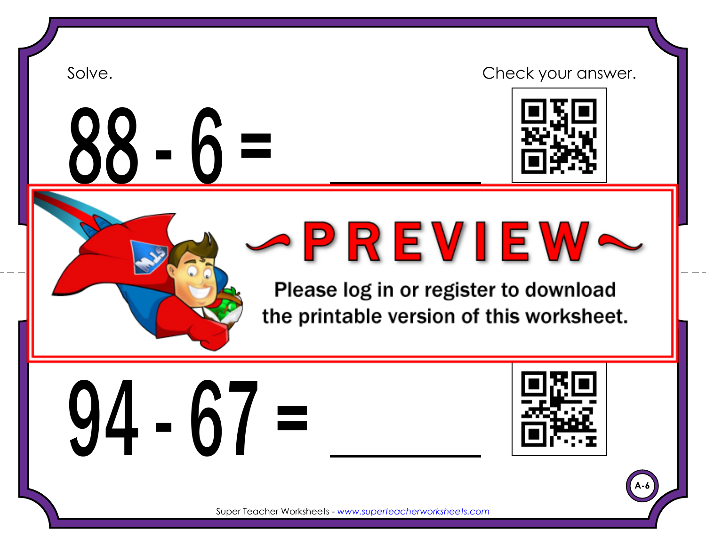<u>88 - b =</u>

## Solve. Solve and the contract of the check your answer.



Super Teacher Worksheets - *www.superteacherworksheets.com*

Please log in or register to download the printable version of this worksheet.

 $94 - 67 =$ 



**A-6**

Super Teacher Worksheets - *www.superteacherworksheets.com*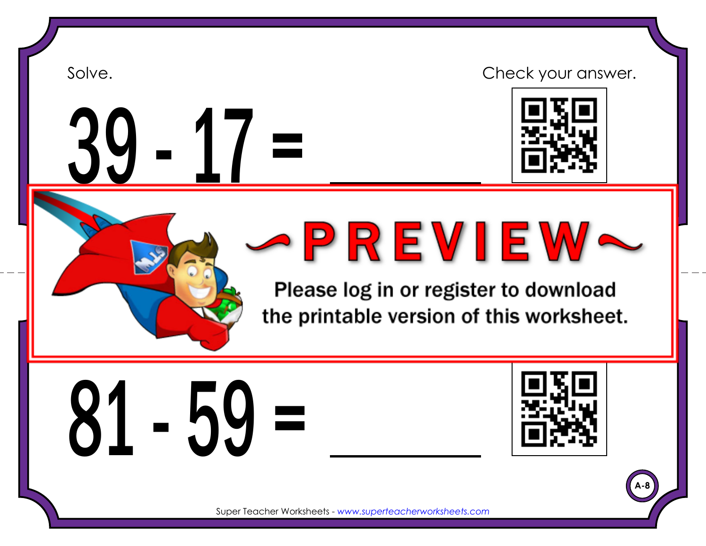$\frac{1}{2}$ 

## Solve. Solve and the contract of the check your answer.



Super Teacher Worksheets - *www.superteacherworksheets.com*

Please log in or register to download the printable version of this worksheet.

 $-59 =$ 



**A-8**

Super Teacher Worksheets - *www.superteacherworksheets.com*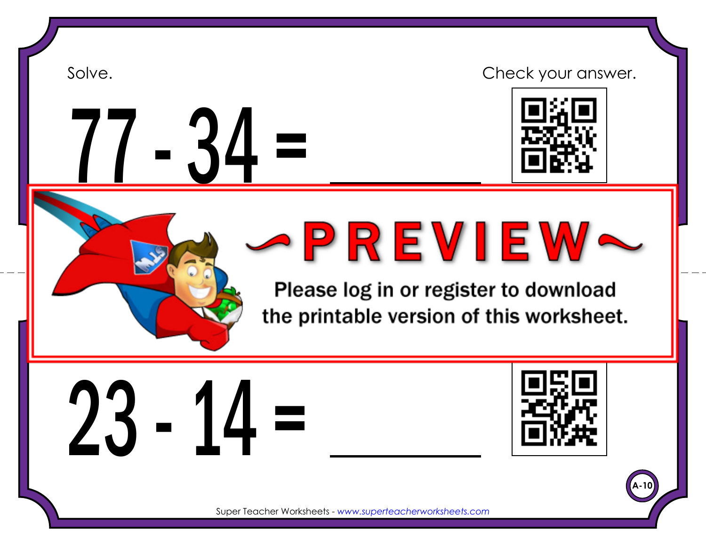

Please log in or register to download the printable version of this worksheet.

23 - 14 =



**A-10**

Super Teacher Worksheets - *www.superteacherworksheets.com*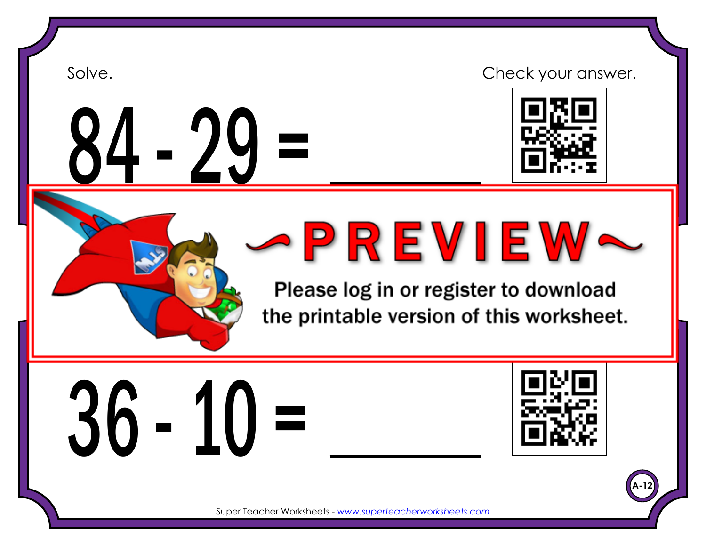







Please log in or register to download the printable version of this worksheet.





**A-12**

Super Teacher Worksheets - *www.superteacherworksheets.com*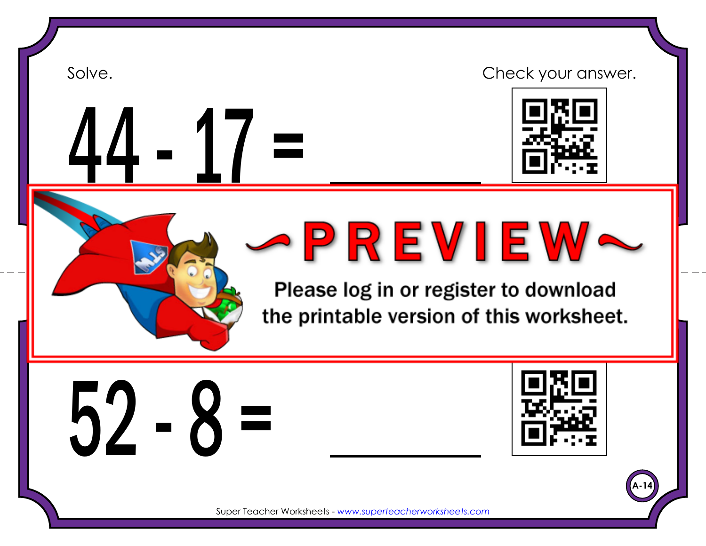## Solve. Solve and the contract of the check your answer. 44 - 17 = Super Teacher Worksheets - *www.superteacherworksheets.com* Please log in or register to download the printable version of this worksheet.



**A-14**

Super Teacher Worksheets - *www.superteacherworksheets.com*

Solve. Check your answer. Check your answer. Check your answer. Check your answer. Check your answer.

 $52 - 8 =$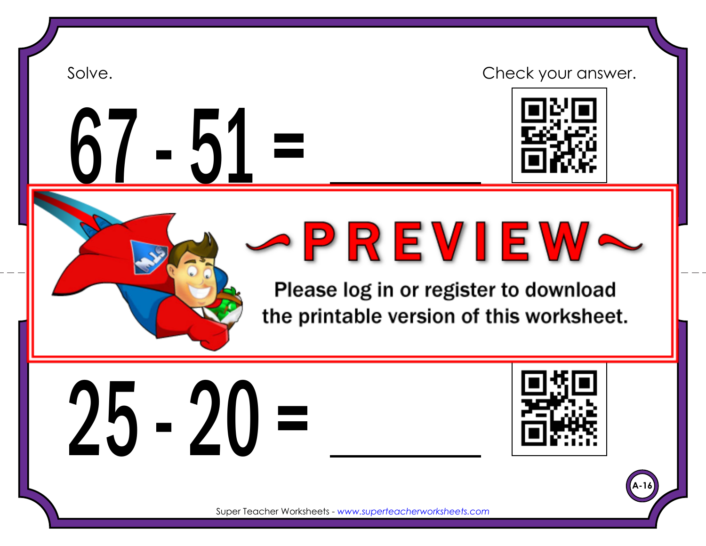









Please log in or register to download the printable version of this worksheet.





**A-16**

Super Teacher Worksheets - *www.superteacherworksheets.com*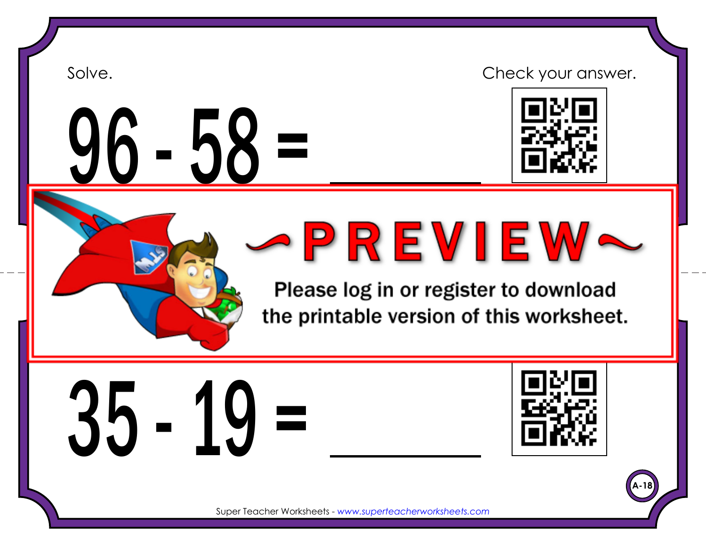$-58 =$ 

Solve. Solve and the contract of the check your answer.



Super Teacher Worksheets - *www.superteacherworksheets.com*

Please log in or register to download the printable version of this worksheet.

 $3 - 19 =$ 



**A-18**

Super Teacher Worksheets - *www.superteacherworksheets.com*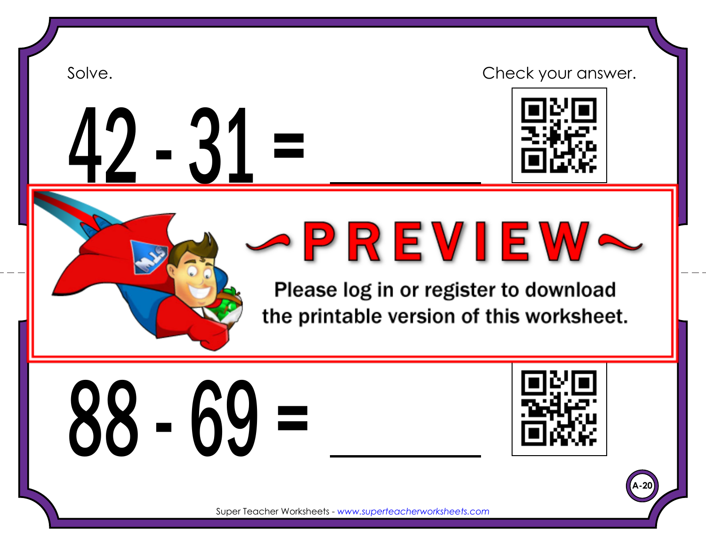

## $1 - 31 =$

## Solve. Solve and the contract of the check your answer.





Please log in or register to download the printable version of this worksheet.





**A-20**

Super Teacher Worksheets - *www.superteacherworksheets.com*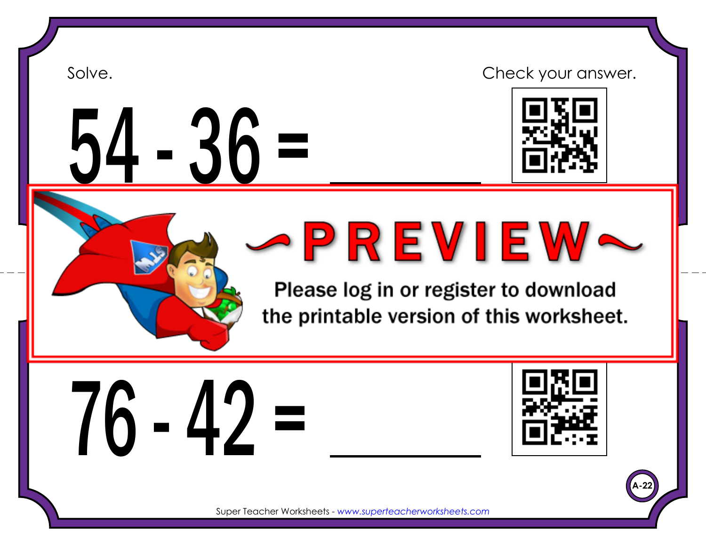# 54 - 36 =

Solve. Solve and the contract of the check your answer.



Super Teacher Worksheets - *www.superteacherworksheets.com*

Please log in or register to download the printable version of this worksheet.





**A-22**

Super Teacher Worksheets - *www.superteacherworksheets.com*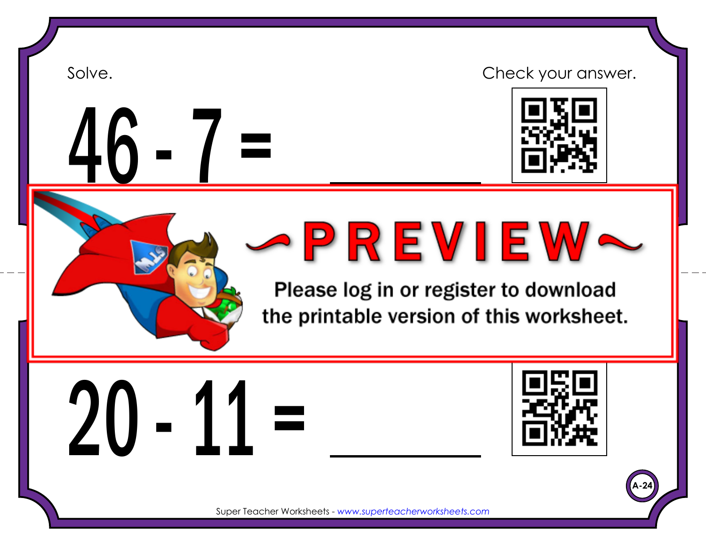



## Solve. Solve and the contract of the check your answer.



Super Teacher Worksheets - *www.superteacherworksheets.com*

Please log in or register to download the printable version of this worksheet.





**A-24**

Super Teacher Worksheets - *www.superteacherworksheets.com*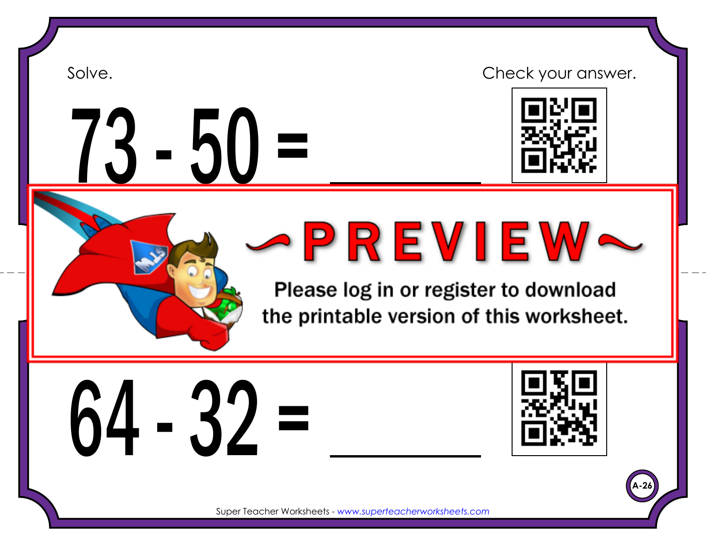$3 - 50 =$ 

Solve. Solve and the contract of the check your answer.



Super Teacher Worksheets - *www.superteacherworksheets.com*

Please log in or register to download the printable version of this worksheet.

 $64 - 32 =$ 



**A-26**

Super Teacher Worksheets - *www.superteacherworksheets.com*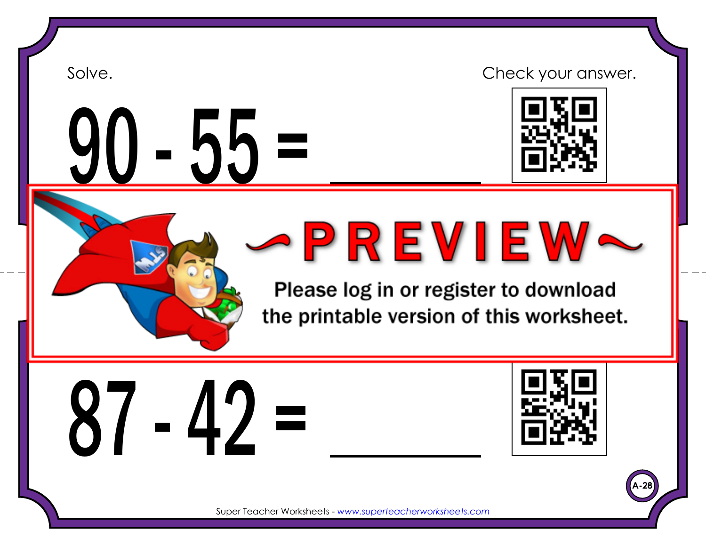## $-55 =$

Solve. Solve and the contract of the check your answer.



Super Teacher Worksheets - *www.superteacherworksheets.com*

Please log in or register to download the printable version of this worksheet.





**A-28**

Super Teacher Worksheets - *www.superteacherworksheets.com*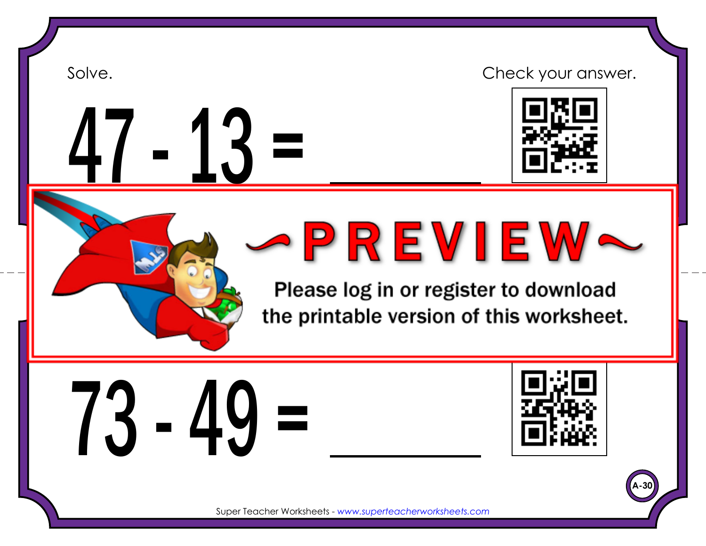## $-13 =$

Solve. Solve and the contract of the check your answer.



Super Teacher Worksheets - *www.superteacherworksheets.com*

Please log in or register to download the printable version of this worksheet.





**A-30**

Super Teacher Worksheets - *www.superteacherworksheets.com*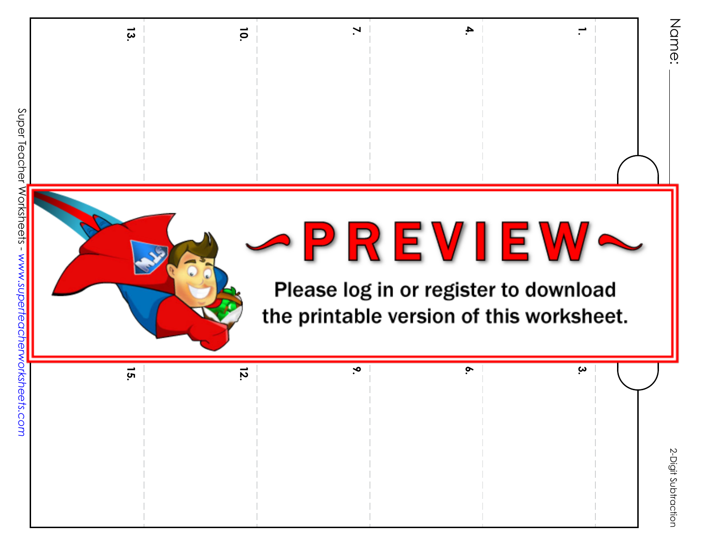